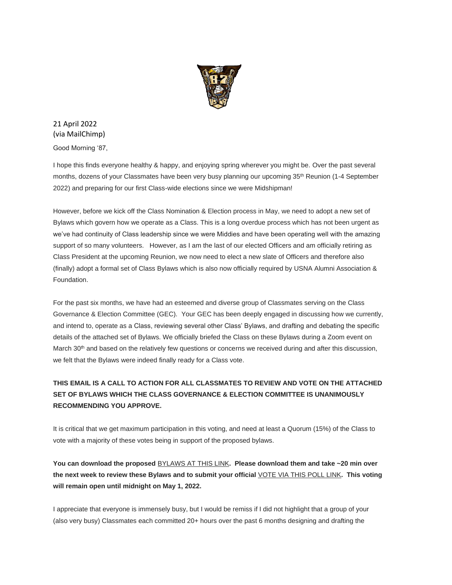

21 April 2022 (via MailChimp)

Good Morning '87,

I hope this finds everyone healthy & happy, and enjoying spring wherever you might be. Over the past several months, dozens of your Classmates have been very busy planning our upcoming 35<sup>th</sup> Reunion (1-4 September 2022) and preparing for our first Class-wide elections since we were Midshipman!

However, before we kick off the Class Nomination & Election process in May, we need to adopt a new set of Bylaws which govern how we operate as a Class. This is a long overdue process which has not been urgent as we've had continuity of Class leadership since we were Middies and have been operating well with the amazing support of so many volunteers. However, as I am the last of our elected Officers and am officially retiring as Class President at the upcoming Reunion, we now need to elect a new slate of Officers and therefore also (finally) adopt a formal set of Class Bylaws which is also now officially required by USNA Alumni Association & Foundation.

For the past six months, we have had an esteemed and diverse group of Classmates serving on the Class Governance & Election Committee (GEC). Your GEC has been deeply engaged in discussing how we currently, and intend to, operate as a Class, reviewing several other Class' Bylaws, and drafting and debating the specific details of the attached set of Bylaws. We officially briefed the Class on these Bylaws during a Zoom event on March 30<sup>th</sup> and based on the relatively few questions or concerns we received during and after this discussion, we felt that the Bylaws were indeed finally ready for a Class vote.

## **THIS EMAIL IS A CALL TO ACTION FOR ALL CLASSMATES TO REVIEW AND VOTE ON THE ATTACHED SET OF BYLAWS WHICH THE CLASS GOVERNANCE & ELECTION COMMITTEE IS UNANIMOUSLY RECOMMENDING YOU APPROVE.**

It is critical that we get maximum participation in this voting, and need at least a Quorum (15%) of the Class to vote with a majority of these votes being in support of the proposed bylaws.

**You can download the proposed** [BYLAWS AT THIS LINK](https://urldefense.com/v3/__https:/usna87.us8.list-manage.com/track/click?u=2684e72b50947e1384ea3ea73&id=f4d406c7ac&e=71e63943a2__;!!MvWE!WM8KnZQoZ69xFH58kuieUvizHlSPFPDP4_5ETyKt3ZzNxtXglJSKiRvCzRS448g98Q$)**. Please download them and take ~20 min over the next week to review these Bylaws and to submit your official** [VOTE VIA THIS POLL LINK](https://urldefense.com/v3/__https:/usna87.us8.list-manage.com/track/click?u=2684e72b50947e1384ea3ea73&id=eafcd0f50c&e=71e63943a2__;!!MvWE!WM8KnZQoZ69xFH58kuieUvizHlSPFPDP4_5ETyKt3ZzNxtXglJSKiRvCzRQ4_IVSYQ$)**. This voting will remain open until midnight on May 1, 2022.** 

I appreciate that everyone is immensely busy, but I would be remiss if I did not highlight that a group of your (also very busy) Classmates each committed 20+ hours over the past 6 months designing and drafting the